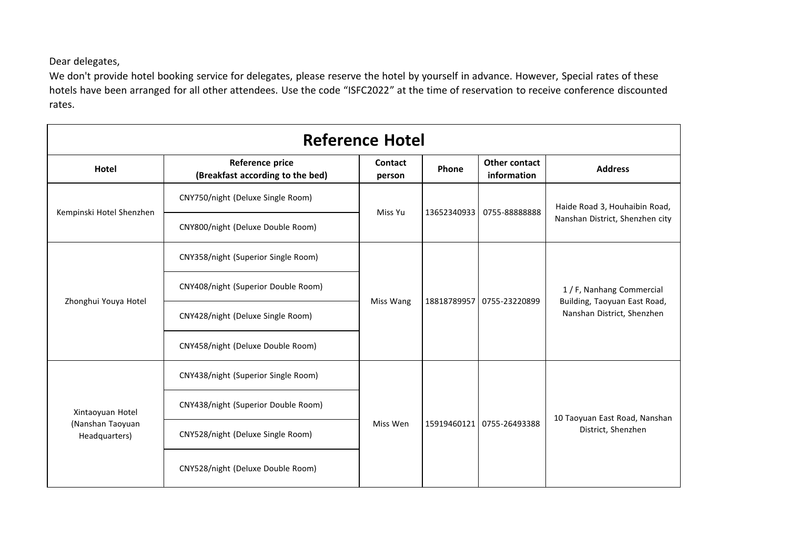Dear delegates,

We don't provide hotel booking service for delegates, please reserve the hotel by yourself in advance. However, Special rates of these hotels have been arranged for all other attendees. Use the code "ISFC2022" at the time of reservation to receive conference discounted rates.

| <b>Reference Hotel</b>                                |                                                     |                   |             |                                     |                                                                                         |  |
|-------------------------------------------------------|-----------------------------------------------------|-------------------|-------------|-------------------------------------|-----------------------------------------------------------------------------------------|--|
| Hotel                                                 | Reference price<br>(Breakfast according to the bed) | Contact<br>person | Phone       | <b>Other contact</b><br>information | <b>Address</b>                                                                          |  |
| Kempinski Hotel Shenzhen                              | CNY750/night (Deluxe Single Room)                   | Miss Yu           | 13652340933 | 0755-88888888                       | Haide Road 3, Houhaibin Road,<br>Nanshan District, Shenzhen city                        |  |
|                                                       | CNY800/night (Deluxe Double Room)                   |                   |             |                                     |                                                                                         |  |
| Zhonghui Youya Hotel                                  | CNY358/night (Superior Single Room)                 | Miss Wang         | 18818789957 | 0755-23220899                       | 1 / F, Nanhang Commercial<br>Building, Taoyuan East Road,<br>Nanshan District, Shenzhen |  |
|                                                       | CNY408/night (Superior Double Room)                 |                   |             |                                     |                                                                                         |  |
|                                                       | CNY428/night (Deluxe Single Room)                   |                   |             |                                     |                                                                                         |  |
|                                                       | CNY458/night (Deluxe Double Room)                   |                   |             |                                     |                                                                                         |  |
| Xintaoyuan Hotel<br>(Nanshan Taoyuan<br>Headquarters) | CNY438/night (Superior Single Room)                 | Miss Wen          | 15919460121 | 0755-26493388                       | 10 Taoyuan East Road, Nanshan<br>District, Shenzhen                                     |  |
|                                                       | CNY438/night (Superior Double Room)                 |                   |             |                                     |                                                                                         |  |
|                                                       | CNY528/night (Deluxe Single Room)                   |                   |             |                                     |                                                                                         |  |
|                                                       | CNY528/night (Deluxe Double Room)                   |                   |             |                                     |                                                                                         |  |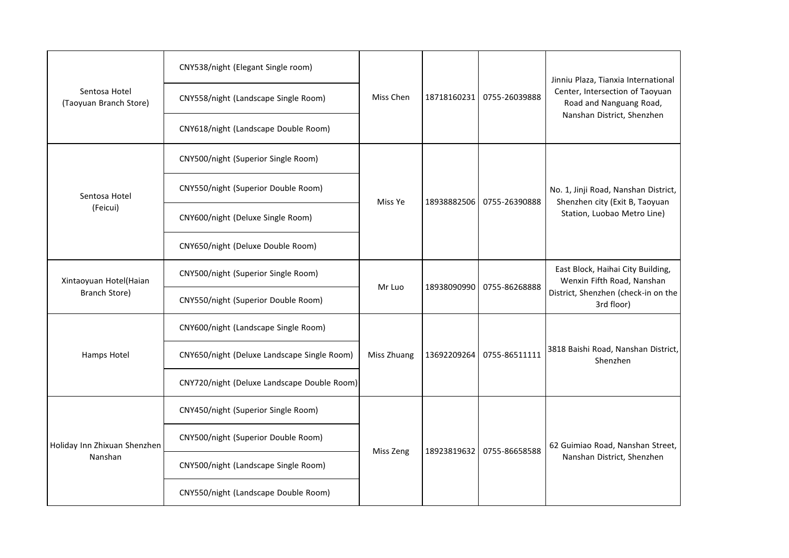| Sentosa Hotel<br>(Taoyuan Branch Store) | CNY538/night (Elegant Single room)          | Miss Chen   |             | 18718160231 0755-26039888 | Jinniu Plaza, Tianxia International<br>Center, Intersection of Taoyuan<br>Road and Nanguang Road,<br>Nanshan District, Shenzhen |
|-----------------------------------------|---------------------------------------------|-------------|-------------|---------------------------|---------------------------------------------------------------------------------------------------------------------------------|
|                                         | CNY558/night (Landscape Single Room)        |             |             |                           |                                                                                                                                 |
|                                         | CNY618/night (Landscape Double Room)        |             |             |                           |                                                                                                                                 |
| Sentosa Hotel<br>(Feicui)               | CNY500/night (Superior Single Room)         | Miss Ye     |             | 18938882506 0755-26390888 | No. 1, Jinji Road, Nanshan District,<br>Shenzhen city (Exit B, Taoyuan<br>Station, Luobao Metro Line)                           |
|                                         | CNY550/night (Superior Double Room)         |             |             |                           |                                                                                                                                 |
|                                         | CNY600/night (Deluxe Single Room)           |             |             |                           |                                                                                                                                 |
|                                         | CNY650/night (Deluxe Double Room)           |             |             |                           |                                                                                                                                 |
| Xintaoyuan Hotel(Haian<br>Branch Store) | CNY500/night (Superior Single Room)         | Mr Luo      | 18938090990 | 0755-86268888             | East Block, Haihai City Building,<br>Wenxin Fifth Road, Nanshan<br>District, Shenzhen (check-in on the<br>3rd floor)            |
|                                         | CNY550/night (Superior Double Room)         |             |             |                           |                                                                                                                                 |
|                                         | CNY600/night (Landscape Single Room)        | Miss Zhuang | 13692209264 | 0755-86511111             | 3818 Baishi Road, Nanshan District,<br>Shenzhen                                                                                 |
| Hamps Hotel                             | CNY650/night (Deluxe Landscape Single Room) |             |             |                           |                                                                                                                                 |
|                                         | CNY720/night (Deluxe Landscape Double Room) |             |             |                           |                                                                                                                                 |
| Holiday Inn Zhixuan Shenzhen<br>Nanshan | CNY450/night (Superior Single Room)         | Miss Zeng   | 18923819632 | 0755-86658588             | 62 Guimiao Road, Nanshan Street,<br>Nanshan District, Shenzhen                                                                  |
|                                         | CNY500/night (Superior Double Room)         |             |             |                           |                                                                                                                                 |
|                                         | CNY500/night (Landscape Single Room)        |             |             |                           |                                                                                                                                 |
|                                         | CNY550/night (Landscape Double Room)        |             |             |                           |                                                                                                                                 |